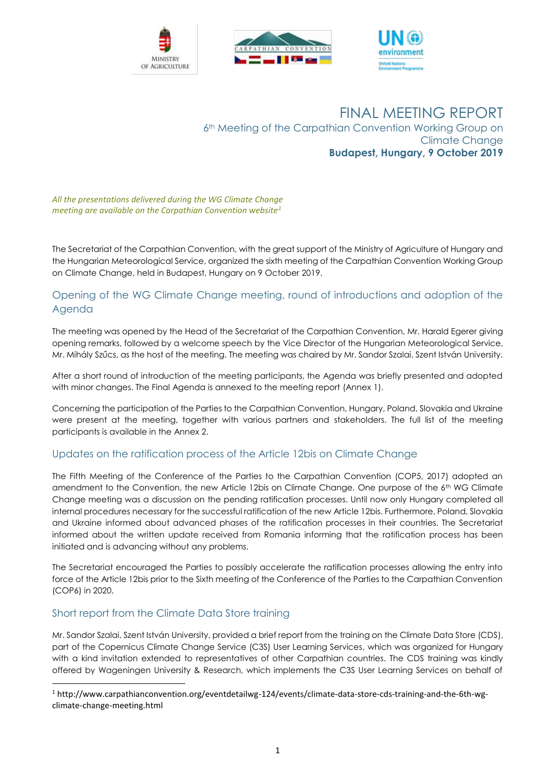





# FINAL MEETING REPORT 6<sup>th</sup> Meeting of the Carpathian Convention Working Group on Climate Change **Budapest, Hungary, 9 October 2019**

*All the presentations delivered during the WG Climate Change meeting are available on the Carpathian Convention website<sup>1</sup>*

The Secretariat of the Carpathian Convention, with the great support of the Ministry of Agriculture of Hungary and the Hungarian Meteorological Service, organized the sixth meeting of the Carpathian Convention Working Group on Climate Change, held in Budapest, Hungary on 9 October 2019.

## Opening of the WG Climate Change meeting, round of introductions and adoption of the Agenda

The meeting was opened by the Head of the Secretariat of the Carpathian Convention, Mr. Harald Egerer giving opening remarks, followed by a welcome speech by the Vice Director of the Hungarian Meteorological Service, Mr. Mihály Szűcs, as the host of the meeting. The meeting was chaired by Mr. Sandor Szalai, Szent István University.

After a short round of introduction of the meeting participants, the Agenda was briefly presented and adopted with minor changes. The Final Agenda is annexed to the meeting report (Annex 1).

Concerning the participation of the Parties to the Carpathian Convention, Hungary, Poland, Slovakia and Ukraine were present at the meeting, together with various partners and stakeholders. The full list of the meeting participants is available in the Annex 2.

## Updates on the ratification process of the Article 12bis on Climate Change

The Fifth Meeting of the Conference of the Parties to the Carpathian Convention (COP5, 2017) adopted an amendment to the Convention, the new Article 12bis on Climate Change. One purpose of the 6<sup>th</sup> WG Climate Change meeting was a discussion on the pending ratification processes. Until now only Hungary completed all internal procedures necessary for the successful ratification of the new Article 12bis. Furthermore, Poland, Slovakia and Ukraine informed about advanced phases of the ratification processes in their countries. The Secretariat informed about the written update received from Romania informing that the ratification process has been initiated and is advancing without any problems.

The Secretariat encouraged the Parties to possibly accelerate the ratification processes allowing the entry into force of the Article 12bis prior to the Sixth meeting of the Conference of the Parties to the Carpathian Convention (COP6) in 2020.

## Short report from the Climate Data Store training

1

Mr. Sandor Szalai, Szent István University, provided a brief report from the training on the Climate Data Store (CDS), part of the Copernicus Climate Change Service (C3S) User Learning Services, which was organized for Hungary with a kind invitation extended to representatives of other Carpathian countries. The CDS training was kindly offered by Wageningen University & Research, which implements the C3S User Learning Services on behalf of

<sup>1</sup> http://www.carpathianconvention.org/eventdetailwg-124/events/climate-data-store-cds-training-and-the-6th-wgclimate-change-meeting.html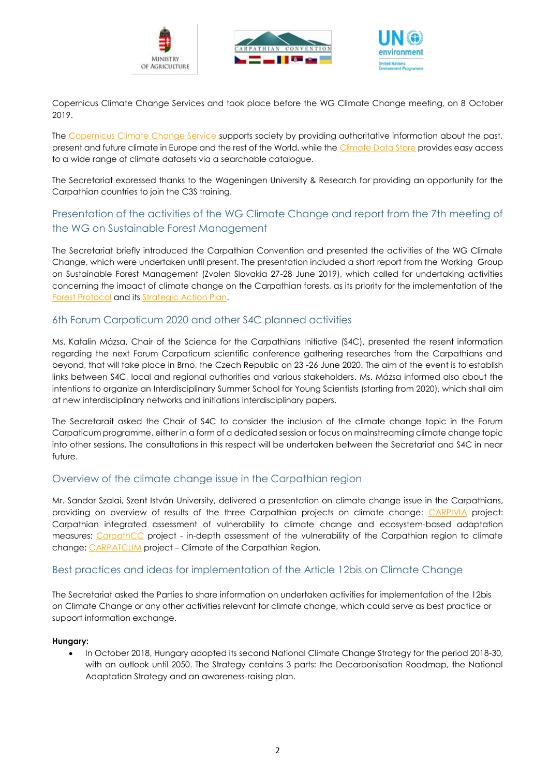





Copernicus Climate Change Services and took place before the WG Climate Change meeting, on 8 October 2019.

The [Copernicus Climate Change Service](https://climate.copernicus.eu/) supports society by providing authoritative information about the past, present and future climate in Europe and the rest of the World, while th[e Climate Data Store](https://cds.climate.copernicus.eu/#!/home) provides easy access to a wide range of climate datasets via a searchable catalogue.

The Secretariat expressed thanks to the Wageningen University & Research for providing an opportunity for the Carpathian countries to join the C3S training.

# Presentation of the activities of the WG Climate Change and report from the 7th meeting of the WG on Sustainable Forest Management

The Secretariat briefly introduced the Carpathian Convention and presented the activities of the WG Climate Change, which were undertaken until present. The presentation included a short report from the Working Group on Sustainable Forest Management (Zvolen Slovakia 27-28 June 2019), which called for undertaking activities concerning the impact of climate change on the Carpathian forests, as its priority for the implementation of the [Forest Protocol](http://www.carpathianconvention.org/protocol_on_sustainable_forest_management.html) and it[s Strategic Action Plan.](http://www.carpathianconvention.org/tl_files/carpathiancon/Downloads/03%20Meetings%20and%20Events/COP/2014_COP4_Mikulov/Follow%20Up/DOC11_Forest%20SAP%20FINAL_26SepCOP4.pdf)

## 6th Forum Carpaticum 2020 and other S4C planned activities

Ms. Katalin Mázsa, Chair of the Science for the Carpathians Initiative (S4C), presented the resent information regarding the next Forum Carpaticum scientific conference gathering researches from the Carpathians and beyond, that will take place in Brno, the Czech Republic on 23 -26 June 2020. The aim of the event is to establish links between S4C, local and regional authorities and various stakeholders. Ms. Mázsa informed also about the intentions to organize an Interdisciplinary Summer School for Young Scientists (starting from 2020), which shall aim at new interdisciplinary networks and initiations interdisciplinary papers.

The Secretarait asked the Chair of S4C to consider the inclusion of the climate change topic in the Forum Carpaticum programme, either in a form of a dedicated session or focus on mainstreaming climate change topic into other sessions. The consultations in this respect will be undertaken between the Secretariat and S4C in near future.

## Overview of the climate change issue in the Carpathian region

Mr. Sandor Szalai, Szent István University, delivered a presentation on climate change issue in the Carpathians, providing on overview of results of the three Carpathian projects on climate change: [CARPIVIA](http://www.carpivia.eu/) project: Carpathian integrated assessment of vulnerability to climate change and ecosystem-based adaptation measures; [CarpathCC](http://www.carpathcc.eu/) project - in-depth assessment of the vulnerability of the Carpathian region to climate change[; CARPATCLIM](http://www.carpatclim-eu.org/pages/home/) project – Climate of the Carpathian Region.

## Best practices and ideas for implementation of the Article 12bis on Climate Change

The Secretariat asked the Parties to share information on undertaken activities for implementation of the 12bis on Climate Change or any other activities relevant for climate change, which could serve as best practice or support information exchange.

#### **Hungary:**

• In October 2018, Hungary adopted its second National Climate Change Strategy for the period 2018-30, with an outlook until 2050. The Strategy contains 3 parts: the Decarbonisation Roadmap, the National Adaptation Strategy and an awareness-raising plan.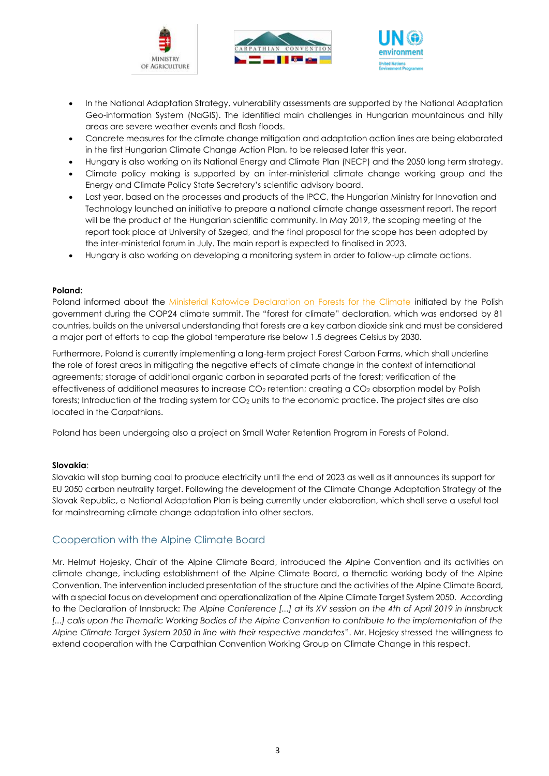





- In the National Adaptation Strategy, vulnerability assessments are supported by the National Adaptation Geo-information System (NaGIS). The identified main challenges in Hungarian mountainous and hilly areas are severe weather events and flash floods.
- Concrete measures for the climate change mitigation and adaptation action lines are being elaborated in the first Hungarian Climate Change Action Plan, to be released later this year.
- Hungary is also working on its National Energy and Climate Plan (NECP) and the 2050 long term strategy.
- Climate policy making is supported by an inter-ministerial climate change working group and the Energy and Climate Policy State Secretary's scientific advisory board.
- Last year, based on the processes and products of the IPCC, the Hungarian Ministry for Innovation and Technology launched an initiative to prepare a national climate change assessment report. The report will be the product of the Hungarian scientific community. In May 2019, the scoping meeting of the report took place at University of Szeged, and the final proposal for the scope has been adopted by the inter-ministerial forum in July. The main report is expected to finalised in 2023.
- Hungary is also working on developing a monitoring system in order to follow-up climate actions.

#### **Poland:**

Poland informed about the [Ministerial Katowice Declaration on Forests for the Climate](https://cop24.gov.pl/fileadmin/user_upload/Ministerial_Katowice_Declaration_on_Forests_for_Climate_OFFICIAL_ENG.pdf) initiated by the Polish government during the COP24 climate summit. The "forest for climate" declaration, which was endorsed by 81 countries, builds on the universal understanding that forests are a key carbon dioxide sink and must be considered a major part of efforts to cap the global temperature rise below 1.5 degrees Celsius by 2030.

Furthermore, Poland is currently implementing a long-term project Forest Carbon Farms, which shall underline the role of forest areas in mitigating the negative effects of climate change in the context of international agreements; storage of additional organic carbon in separated parts of the forest; verification of the effectiveness of additional measures to increase CO<sub>2</sub> retention; creating a CO<sub>2</sub> absorption model by Polish forests; Introduction of the trading system for CO<sub>2</sub> units to the economic practice. The project sites are also located in the Carpathians.

Poland has been undergoing also a project on Small Water Retention Program in Forests of Poland.

#### **Slovakia**:

Slovakia will stop burning coal to produce electricity until the end of 2023 as well as it announces its support for EU 2050 carbon neutrality target. Following the development of the Climate Change Adaptation Strategy of the Slovak Republic, a National Adaptation Plan is being currently under elaboration, which shall serve a useful tool for mainstreaming climate change adaptation into other sectors.

## Cooperation with the Alpine Climate Board

Mr. Helmut Hojesky, Chair of the Alpine Climate Board, introduced the Alpine Convention and its activities on climate change, including establishment of the Alpine Climate Board, a thematic working body of the Alpine Convention. The intervention included presentation of the structure and the activities of the Alpine Climate Board, with a special focus on development and operationalization of the Alpine Climate Target System 2050. According to the Declaration of Innsbruck: *The Alpine Conference [...] at its XV session on the 4th of April 2019 in Innsbruck [...] calls upon the Thematic Working Bodies of the Alpine Convention to contribute to the implementation of the Alpine Climate Target System 2050 in line with their respective mandates*". Mr. Hojesky stressed the willingness to extend cooperation with the Carpathian Convention Working Group on Climate Change in this respect.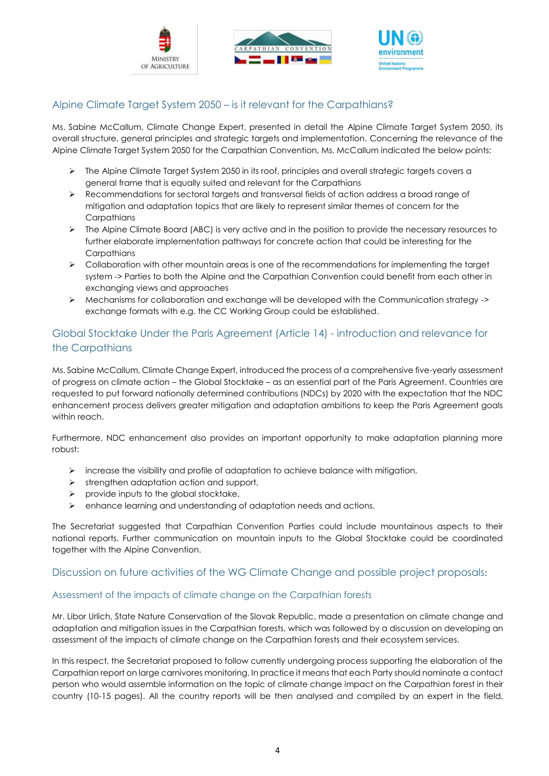





## Alpine Climate Target System 2050 – is it relevant for the Carpathians?

Ms. Sabine McCallum, Climate Change Expert, presented in detail the Alpine Climate Target System 2050, its overall structure, general principles and strategic targets and implementation. Concerning the relevance of the Alpine Climate Target System 2050 for the Carpathian Convention, Ms. McCallum indicated the below points:

- ➢ The Alpine Climate Target System 2050 in its roof, principles and overall strategic targets covers a general frame that is equally suited and relevant for the Carpathians
- ➢ Recommendations for sectoral targets and transversal fields of action address a broad range of mitigation and adaptation topics that are likely to represent similar themes of concern for the **Carpathians**
- $\triangleright$  The Alpine Climate Board (ABC) is very active and in the position to provide the necessary resources to further elaborate implementation pathways for concrete action that could be interesting for the **Carpathians**
- ➢ Collaboration with other mountain areas is one of the recommendations for implementing the target system -> Parties to both the Alpine and the Carpathian Convention could benefit from each other in exchanging views and approaches
- ➢ Mechanisms for collaboration and exchange will be developed with the Communication strategy -> exchange formats with e.g. the CC Working Group could be established.

# Global Stocktake Under the Paris Agreement (Article 14) - introduction and relevance for the Carpathians

Ms. Sabine McCallum, Climate Change Expert, introduced the process of a comprehensive five-yearly assessment of progress on climate action – the Global Stocktake – as an essential part of the Paris Agreement. Countries are requested to put forward nationally determined contributions (NDCs) by 2020 with the expectation that the NDC enhancement process delivers greater mitigation and adaptation ambitions to keep the Paris Agreement goals within reach.

Furthermore, NDC enhancement also provides an important opportunity to make adaptation planning more robust:

- $\triangleright$  increase the visibility and profile of adaptation to achieve balance with mitigation,
- ➢ strengthen adaptation action and support,
- $\triangleright$  provide inputs to the global stocktake,
- ➢ enhance learning and understanding of adaptation needs and actions.

The Secretariat suggested that Carpathian Convention Parties could include mountainous aspects to their national reports. Further communication on mountain inputs to the Global Stocktake could be coordinated together with the Alpine Convention.

## Discussion on future activities of the WG Climate Change and possible project proposals:

## Assessment of the impacts of climate change on the Carpathian forests

Mr. Libor Urlich, State Nature Conservation of the Slovak Republic, made a presentation on climate change and adaptation and mitigation issues in the Carpathian forests, which was followed by a discussion on developing an assessment of the impacts of climate change on the Carpathian forests and their ecosystem services.

In this respect, the Secretariat proposed to follow currently undergoing process supporting the elaboration of the Carpathian report on large carnivores monitoring. In practice it means that each Party should nominate a contact person who would assemble information on the topic of climate change impact on the Carpathian forest in their country (10-15 pages). All the country reports will be then analysed and compiled by an expert in the field,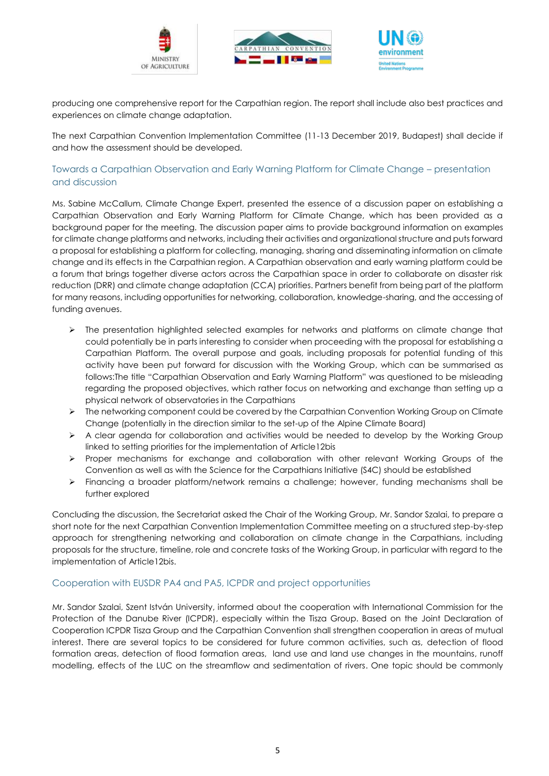





producing one comprehensive report for the Carpathian region. The report shall include also best practices and experiences on climate change adaptation.

The next Carpathian Convention Implementation Committee (11-13 December 2019, Budapest) shall decide if and how the assessment should be developed.

#### Towards a Carpathian Observation and Early Warning Platform for Climate Change – presentation and discussion

Ms. Sabine McCallum, Climate Change Expert, presented the essence of a discussion paper on establishing a Carpathian Observation and Early Warning Platform for Climate Change, which has been provided as a background paper for the meeting. The discussion paper aims to provide background information on examples for climate change platforms and networks, including their activities and organizational structure and puts forward a proposal for establishing a platform for collecting, managing, sharing and disseminating information on climate change and its effects in the Carpathian region. A Carpathian observation and early warning platform could be a forum that brings together diverse actors across the Carpathian space in order to collaborate on disaster risk reduction (DRR) and climate change adaptation (CCA) priorities. Partners benefit from being part of the platform for many reasons, including opportunities for networking, collaboration, knowledge-sharing, and the accessing of funding avenues.

- ➢ The presentation highlighted selected examples for networks and platforms on climate change that could potentially be in parts interesting to consider when proceeding with the proposal for establishing a Carpathian Platform. The overall purpose and goals, including proposals for potential funding of this activity have been put forward for discussion with the Working Group, which can be summarised as follows:The title "Carpathian Observation and Early Warning Platform" was questioned to be misleading regarding the proposed objectives, which rather focus on networking and exchange than setting up a physical network of observatories in the Carpathians
- ➢ The networking component could be covered by the Carpathian Convention Working Group on Climate Change (potentially in the direction similar to the set-up of the Alpine Climate Board)
- ➢ A clear agenda for collaboration and activities would be needed to develop by the Working Group linked to setting priorities for the implementation of Article12bis
- ➢ Proper mechanisms for exchange and collaboration with other relevant Working Groups of the Convention as well as with the Science for the Carpathians Initiative (S4C) should be established
- ➢ Financing a broader platform/network remains a challenge; however, funding mechanisms shall be further explored

Concluding the discussion, the Secretariat asked the Chair of the Working Group, Mr. Sandor Szalai, to prepare a short note for the next Carpathian Convention Implementation Committee meeting on a structured step-by-step approach for strengthening networking and collaboration on climate change in the Carpathians, including proposals for the structure, timeline, role and concrete tasks of the Working Group, in particular with regard to the implementation of Article12bis.

#### Cooperation with EUSDR PA4 and PA5, ICPDR and project opportunities

Mr. Sandor Szalai, Szent István University, informed about the cooperation with International Commission for the Protection of the Danube River (ICPDR), especially within the Tisza Group. Based on the Joint Declaration of Cooperation ICPDR Tisza Group and the Carpathian Convention shall strengthen cooperation in areas of mutual interest. There are several topics to be considered for future common activities, such as, detection of flood formation areas, detection of flood formation areas, land use and land use changes in the mountains, runoff modelling, effects of the LUC on the streamflow and sedimentation of rivers. One topic should be commonly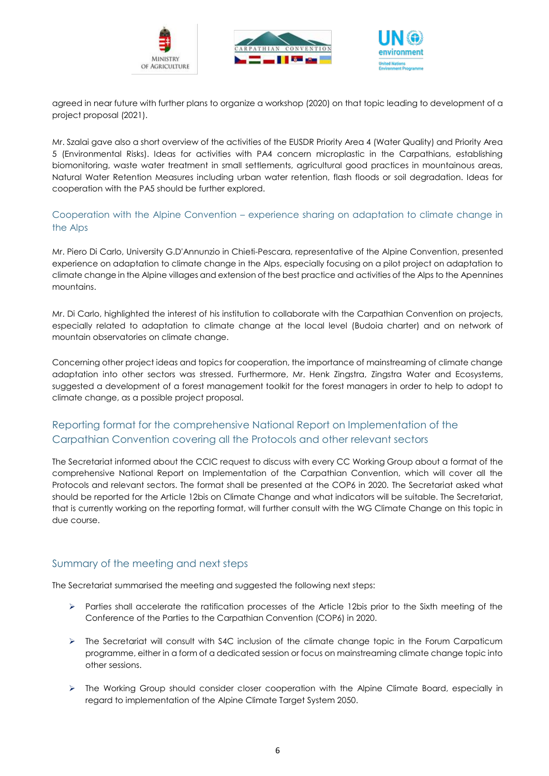





agreed in near future with further plans to organize a workshop (2020) on that topic leading to development of a project proposal (2021).

Mr. Szalai gave also a short overview of the activities of the EUSDR Priority Area 4 (Water Quality) and Priority Area 5 (Environmental Risks). Ideas for activities with PA4 concern microplastic in the Carpathians, establishing biomonitoring, waste water treatment in small settlements, agricultural good practices in mountainous areas, Natural Water Retention Measures including urban water retention, flash floods or soil degradation. Ideas for cooperation with the PA5 should be further explored.

Cooperation with the Alpine Convention – experience sharing on adaptation to climate change in the Alps

Mr. Piero Di Carlo, University G.D'Annunzio in Chieti-Pescara, representative of the Alpine Convention, presented experience on adaptation to climate change in the Alps, especially focusing on a pilot project on adaptation to climate change in the Alpine villages and extension of the best practice and activities of the Alps to the Apennines mountains.

Mr. Di Carlo, highlighted the interest of his institution to collaborate with the Carpathian Convention on projects, especially related to adaptation to climate change at the local level (Budoia charter) and on network of mountain observatories on climate change.

Concerning other project ideas and topics for cooperation, the importance of mainstreaming of climate change adaptation into other sectors was stressed. Furthermore, Mr. Henk Zingstra, Zingstra Water and Ecosystems, suggested a development of a forest management toolkit for the forest managers in order to help to adopt to climate change, as a possible project proposal.

# Reporting format for the comprehensive National Report on Implementation of the Carpathian Convention covering all the Protocols and other relevant sectors

The Secretariat informed about the CCIC request to discuss with every CC Working Group about a format of the comprehensive National Report on Implementation of the Carpathian Convention, which will cover all the Protocols and relevant sectors. The format shall be presented at the COP6 in 2020. The Secretariat asked what should be reported for the Article 12bis on Climate Change and what indicators will be suitable. The Secretariat, that is currently working on the reporting format, will further consult with the WG Climate Change on this topic in due course.

## Summary of the meeting and next steps

The Secretariat summarised the meeting and suggested the following next steps:

- ➢ Parties shall accelerate the ratification processes of the Article 12bis prior to the Sixth meeting of the Conference of the Parties to the Carpathian Convention (COP6) in 2020.
- ➢ The Secretariat will consult with S4C inclusion of the climate change topic in the Forum Carpaticum programme, either in a form of a dedicated session or focus on mainstreaming climate change topic into other sessions.
- ➢ The Working Group should consider closer cooperation with the Alpine Climate Board, especially in regard to implementation of the Alpine Climate Target System 2050.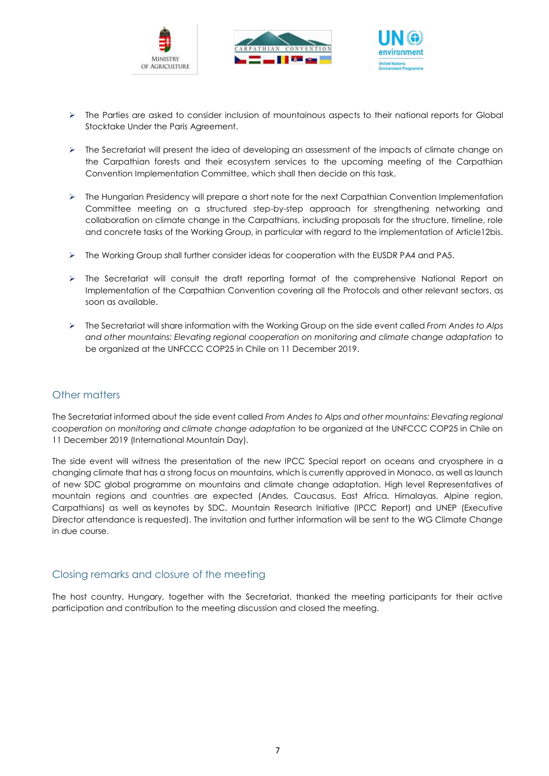





- ➢ The Parties are asked to consider inclusion of mountainous aspects to their national reports for Global Stocktake Under the Paris Agreement.
- ➢ The Secretariat will present the idea of developing an assessment of the impacts of climate change on the Carpathian forests and their ecosystem services to the upcoming meeting of the Carpathian Convention Implementation Committee, which shall then decide on this task.
- ➢ The Hungarian Presidency will prepare a short note for the next Carpathian Convention Implementation Committee meeting on a structured step-by-step approach for strengthening networking and collaboration on climate change in the Carpathians, including proposals for the structure, timeline, role and concrete tasks of the Working Group, in particular with regard to the implementation of Article12bis.
- ➢ The Working Group shall further consider ideas for cooperation with the EUSDR PA4 and PA5.
- ➢ The Secretariat will consult the draft reporting format of the comprehensive National Report on Implementation of the Carpathian Convention covering all the Protocols and other relevant sectors, as soon as available.
- ➢ The Secretariat will share information with the Working Group on the side event called *From Andes to Alps and other mountains: Elevating regional cooperation on monitoring and climate change adaptation* to be organized at the UNFCCC COP25 in Chile on 11 December 2019.

## Other matters

The Secretariat informed about the side event called *From Andes to Alps and other mountains: Elevating regional cooperation on monitoring and climate change adaptation* to be organized at the UNFCCC COP25 in Chile on 11 December 2019 (International Mountain Day).

The side event will witness the presentation of the new IPCC Special report on oceans and cryosphere in a changing climate that has a strong focus on mountains, which is currently approved in Monaco, as well as launch of new SDC global programme on mountains and climate change adaptation. High level Representatives of mountain regions and countries are expected (Andes, Caucasus, East Africa, Himalayas, Alpine region, Carpathians) as well as keynotes by SDC, Mountain Research Initiative (IPCC Report) and UNEP (Executive Director attendance is requested). The invitation and further information will be sent to the WG Climate Change in due course.

#### Closing remarks and closure of the meeting

The host country, Hungary, together with the Secretariat, thanked the meeting participants for their active participation and contribution to the meeting discussion and closed the meeting.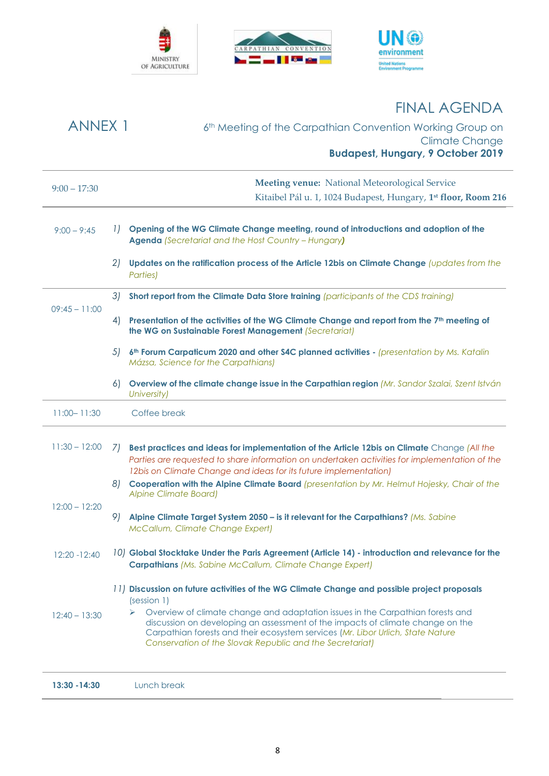





# FINAL AGENDA

| <b>ANNEX 1</b>  |        | 6 <sup>th</sup> Meeting of the Carpathian Convention Working Group on                                                                                                                                                                                                                                                                                                                                                         |
|-----------------|--------|-------------------------------------------------------------------------------------------------------------------------------------------------------------------------------------------------------------------------------------------------------------------------------------------------------------------------------------------------------------------------------------------------------------------------------|
|                 |        | <b>Climate Change</b>                                                                                                                                                                                                                                                                                                                                                                                                         |
|                 |        | <b>Budapest, Hungary, 9 October 2019</b>                                                                                                                                                                                                                                                                                                                                                                                      |
| $9:00 - 17:30$  |        | <b>Meeting venue:</b> National Meteorological Service                                                                                                                                                                                                                                                                                                                                                                         |
|                 |        | Kitaibel Pál u. 1, 1024 Budapest, Hungary, 1 <sup>st</sup> floor, Room 216                                                                                                                                                                                                                                                                                                                                                    |
| $9:00 - 9:45$   | $\Box$ | Opening of the WG Climate Change meeting, round of introductions and adoption of the<br><b>Agenda</b> (Secretariat and the Host Country - Hungary)                                                                                                                                                                                                                                                                            |
|                 | 21     | Updates on the ratification process of the Article 12bis on Climate Change (updates from the<br>Parties)                                                                                                                                                                                                                                                                                                                      |
|                 | 31     | Short report from the Climate Data Store training (participants of the CDS training)                                                                                                                                                                                                                                                                                                                                          |
| $09:45 - 11:00$ | 4)     | Presentation of the activities of the WG Climate Change and report from the 7 <sup>th</sup> meeting of<br>the WG on Sustainable Forest Management (Secretariat)                                                                                                                                                                                                                                                               |
|                 | 5)     | 6 <sup>th</sup> Forum Carpaticum 2020 and other S4C planned activities - (presentation by Ms. Katalin<br>Mázsa, Science for the Carpathians)                                                                                                                                                                                                                                                                                  |
|                 | 6)     | Overview of the climate change issue in the Carpathian region (Mr. Sandor Szalai, Szent István<br>University)                                                                                                                                                                                                                                                                                                                 |
| $11:00 - 11:30$ |        | Coffee break                                                                                                                                                                                                                                                                                                                                                                                                                  |
| $11:30 - 12:00$ | 71     | Best practices and ideas for implementation of the Article 12bis on Climate Change (All the<br>Parties are requested to share information on undertaken activities for implementation of the<br>12bis on Climate Change and ideas for its future implementation)                                                                                                                                                              |
|                 | 8)     | Cooperation with the Alpine Climate Board (presentation by Mr. Helmut Hojesky, Chair of the<br><b>Alpine Climate Board)</b>                                                                                                                                                                                                                                                                                                   |
| $12:00 - 12:20$ | 9)     | Alpine Climate Target System 2050 - is it relevant for the Carpathians? (Ms. Sabine<br>McCallum, Climate Change Expert)                                                                                                                                                                                                                                                                                                       |
| 12:20 - 12:40   |        | 10) Global Stocktake Under the Paris Agreement (Article 14) - introduction and relevance for the<br><b>Carpathians (Ms. Sabine McCallum, Climate Change Expert)</b>                                                                                                                                                                                                                                                           |
| $12:40 - 13:30$ |        | 11) Discussion on future activities of the WG Climate Change and possible project proposals<br>(session 1)<br>Overview of climate change and adaptation issues in the Carpathian forests and<br>discussion on developing an assessment of the impacts of climate change on the<br>Carpathian forests and their ecosystem services (Mr. Libor Urlich, State Nature<br>Conservation of the Slovak Republic and the Secretariat) |
| 13:30 - 14:30   |        | Lunch break                                                                                                                                                                                                                                                                                                                                                                                                                   |